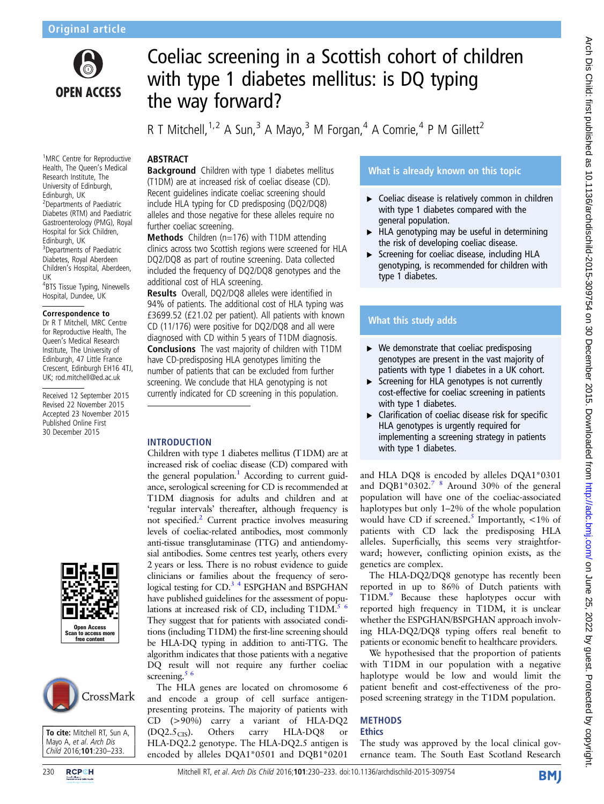

<sup>1</sup>MRC Centre for Reproductive Health, The Queen's Medical Research Institute, The University of Edinburgh, Edinburgh, UK

2 Departments of Paediatric Diabetes (RTM) and Paediatric Gastroenterology (PMG), Royal Hospital for Sick Children, Edinburgh, UK

<sup>3</sup>Departments of Paediatric Diabetes, Royal Aberdeen Children's Hospital, Aberdeen,

4 BTS Tissue Typing, Ninewells Hospital, Dundee, UK Correspondence to Dr R T Mitchell, MRC Centre for Reproductive Health, The Queen's Medical Research Institute, The University of Edinburgh, 47 Little France Crescent, Edinburgh EH16 4TJ, UK; rod.mitchell@ed.ac.uk Received 12 September 2015 Revised 22 November 2015 Accepted 23 November 2015 Published Online First 30 December 2015

UK

# Coeliac screening in a Scottish cohort of children with type 1 diabetes mellitus: is DQ typing the way forward?

R T Mitchell,  $1.2$  A Sun,  $3$  A Mayo,  $3$  M Forgan,  $4$  A Comrie,  $4$  P M Gillett<sup>2</sup>

### **ABSTRACT**

Background Children with type 1 diabetes mellitus (T1DM) are at increased risk of coeliac disease (CD). Recent guidelines indicate coeliac screening should include HLA typing for CD predisposing (DQ2/DQ8) alleles and those negative for these alleles require no further coeliac screening.

Methods Children (n=176) with T1DM attending clinics across two Scottish regions were screened for HLA DQ2/DQ8 as part of routine screening. Data collected included the frequency of DQ2/DQ8 genotypes and the additional cost of HLA screening.

Results Overall, DQ2/DQ8 alleles were identified in 94% of patients. The additional cost of HLA typing was £3699.52 (£21.02 per patient). All patients with known CD (11/176) were positive for DQ2/DQ8 and all were diagnosed with CD within 5 years of T1DM diagnosis. Conclusions The vast majority of children with T1DM have CD-predisposing HLA genotypes limiting the number of patients that can be excluded from further screening. We conclude that HLA genotyping is not currently indicated for CD screening in this population.

#### INTRODUCTION

Children with type 1 diabetes mellitus (T1DM) are at increased risk of coeliac disease (CD) compared with the general population.<sup>1</sup> According to current guidance, serological screening for CD is recommended at T1DM diagnosis for adults and children and at 'regular intervals' thereafter, although frequency is not specified[.2](#page-3-0) Current practice involves measuring levels of coeliac-related antibodies, most commonly anti-tissue transglutaminase (TTG) and antiendomysial antibodies. Some centres test yearly, others every 2 years or less. There is no robust evidence to guide clinicians or families about the frequency of serological testing for CD.<sup>3</sup> <sup>4</sup> ESPGHAN and BSPGHAN have published guidelines for the assessment of populations at increased risk of CD, including  $T1DM<sup>5-6</sup>$ They suggest that for patients with associated conditions (including T1DM) the first-line screening should be HLA-DQ typing in addition to anti-TTG. The algorithm indicates that those patients with a negative DQ result will not require any further coeliac screening. $5\frac{6}{5}$ 

The HLA genes are located on chromosome 6 and encode a group of cell surface antigenpresenting proteins. The majority of patients with CD (>90%) carry a variant of HLA-DQ2  $(DQ2.5<sub>CIS</sub>)$ . Others carry HLA-DQ8 or HLA-DQ2.2 genotype. The HLA-DQ2.5 antigen is encoded by alleles DQA1\*0501 and DQB1\*0201

## What is already known on this topic

- ▶ Coeliac disease is relatively common in children with type 1 diabetes compared with the general population.
- ▸ HLA genotyping may be useful in determining the risk of developing coeliac disease.
- ▸ Screening for coeliac disease, including HLA genotyping, is recommended for children with type 1 diabetes.

# What this study adds

- $\triangleright$  We demonstrate that coeliac predisposing genotypes are present in the vast majority of patients with type 1 diabetes in a UK cohort.
- ▸ Screening for HLA genotypes is not currently cost-effective for coeliac screening in patients with type 1 diabetes.
- $\blacktriangleright$  Clarification of coeliac disease risk for specific HLA genotypes is urgently required for implementing a screening strategy in patients with type 1 diabetes.

and HLA DQ8 is encoded by alleles DQA1\*0301 and DQB1\*0302.<sup>7</sup> 8 Around 30% of the general population will have one of the coeliac-associated haplotypes but only 1–2% of the whole population would have CD if screened.<sup>[5](#page-3-0)</sup> Importantly,  $\langle 1\% \rangle$  of patients with CD lack the predisposing HLA alleles. Superficially, this seems very straightforward; however, conflicting opinion exists, as the genetics are complex.

The HLA-DQ2/DQ8 genotype has recently been reported in up to 86% of Dutch patients with T1DM[.9](#page-3-0) Because these haplotypes occur with reported high frequency in T1DM, it is unclear whether the ESPGHAN/BSPGHAN approach involving HLA-DQ2/DQ8 typing offers real benefit to patients or economic benefit to healthcare providers.

We hypothesised that the proportion of patients with T1DM in our population with a negative haplotype would be low and would limit the patient benefit and cost-effectiveness of the proposed screening strategy in the T1DM population.

#### **METHODS Ethics**

The study was approved by the local clinical governance team. The South East Scotland Research

# Open Access  $n$  to access  $n$ free content



To cite: Mitchell RT, Sun A, Mayo A, et al. Arch Dis Child 2016;101:230–233.

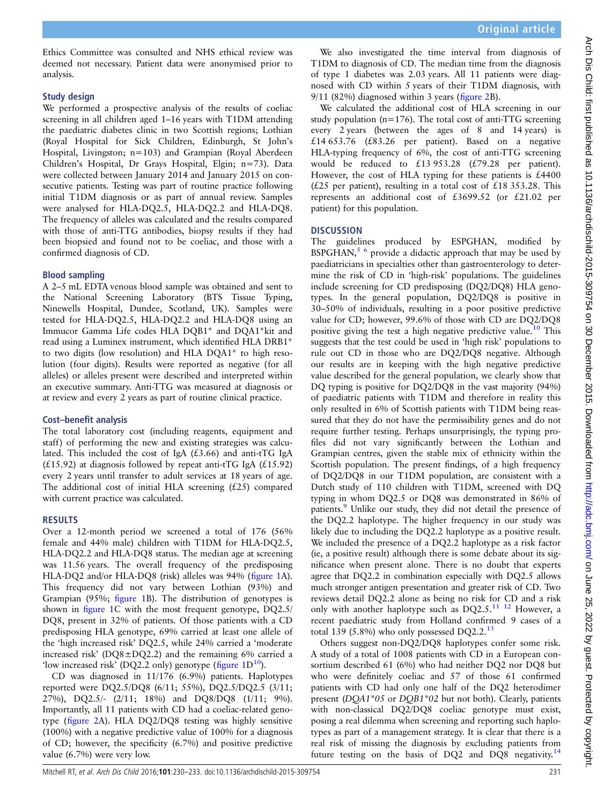Arch Dis Child: first published as 10.1136/archdischild-2015-309754 on 30 December 2015. Downloaded from http://adc.bmj.com/ on June 25, 2022 by guest. Protected by copyright Arch Dis Child: first published as 10.1136/archdischild-2015-309754 on 30 December 2015. Downloaded from on <http://adc.bmj.com/> on June 25, 2022 by guest. Protected by copyright.

Ethics Committee was consulted and NHS ethical review was deemed not necessary. Patient data were anonymised prior to analysis.

#### Study design

We performed a prospective analysis of the results of coeliac screening in all children aged 1–16 years with T1DM attending the paediatric diabetes clinic in two Scottish regions; Lothian (Royal Hospital for Sick Children, Edinburgh, St John's Hospital, Livingston; n=103) and Grampian (Royal Aberdeen Children's Hospital, Dr Grays Hospital, Elgin; n=73). Data were collected between January 2014 and January 2015 on consecutive patients. Testing was part of routine practice following initial T1DM diagnosis or as part of annual review. Samples were analysed for HLA-DQ2.5, HLA-DQ2.2 and HLA-DQ8. The frequency of alleles was calculated and the results compared with those of anti-TTG antibodies, biopsy results if they had been biopsied and found not to be coeliac, and those with a confirmed diagnosis of CD.

#### Blood sampling

A 2–5 mL EDTA venous blood sample was obtained and sent to the National Screening Laboratory (BTS Tissue Typing, Ninewells Hospital, Dundee, Scotland, UK). Samples were tested for HLA-DQ2.5, HLA-DQ2.2 and HLA-DQ8 using an Immucor Gamma Life codes HLA DQB1\* and DQA1\*kit and read using a Luminex instrument, which identified HLA DRB1\* to two digits (low resolution) and HLA DQA1\* to high resolution (four digits). Results were reported as negative (for all alleles) or alleles present were described and interpreted within an executive summary. Anti-TTG was measured at diagnosis or at review and every 2 years as part of routine clinical practice.

#### Cost–benefit analysis

The total laboratory cost (including reagents, equipment and staff) of performing the new and existing strategies was calculated. This included the cost of IgA  $(£3.66)$  and anti-tTG IgA  $(£15.92)$  at diagnosis followed by repeat anti-tTG IgA  $(£15.92)$ every 2 years until transfer to adult services at 18 years of age. The additional cost of initial HLA screening  $(f25)$  compared with current practice was calculated.

#### RESULTS

Over a 12-month period we screened a total of 176 (56% female and 44% male) children with T1DM for HLA-DQ2.5, HLA-DQ2.2 and HLA-DQ8 status. The median age at screening was 11.56 years. The overall frequency of the predisposing HLA-DQ2 and/or HLA-DQ8 (risk) alleles was 94% (fi[gure 1](#page-2-0)A). This frequency did not vary between Lothian (93%) and Grampian (95%; fi[gure 1](#page-2-0)B). The distribution of genotypes is shown in fi[gure 1C](#page-2-0) with the most frequent genotype, DQ2.5/ DQ8, present in 32% of patients. Of those patients with a CD predisposing HLA genotype, 69% carried at least one allele of the 'high increased risk' DQ2.5, while 24% carried a 'moderate increased risk' (DQ8±DQ2.2) and the remaining 6% carried a 'low increased risk' (DQ2.2 only) genotype ( $figure 1D^{10}$  $figure 1D^{10}$  $figure 1D^{10}$  $figure 1D^{10}$  $figure 1D^{10}$ ).

CD was diagnosed in 11/176 (6.9%) patients. Haplotypes reported were DQ2.5/DQ8 (6/11; 55%), DQ2.5/DQ2.5 (3/11; 27%), DQ2.5/- (2/11; 18%) and DQ8/DQ8 (1/11; 9%). Importantly, all 11 patients with CD had a coeliac-related genotype (fi[gure 2](#page-2-0)A). HLA DQ2/DQ8 testing was highly sensitive (100%) with a negative predictive value of 100% for a diagnosis of CD; however, the specificity (6.7%) and positive predictive value (6.7%) were very low.

We also investigated the time interval from diagnosis of T1DM to diagnosis of CD. The median time from the diagnosis of type 1 diabetes was 2.03 years. All 11 patients were diagnosed with CD within 5 years of their T1DM diagnosis, with 9/11 (82%) diagnosed within 3 years (fi[gure 2](#page-2-0)B).

We calculated the additional cost of HLA screening in our study population (n=176). The total cost of anti-TTG screening every 2 years (between the ages of 8 and 14 years) is £14 653.76 (£83.26 per patient). Based on a negative HLA-typing frequency of 6%, the cost of anti-TTG screening would be reduced to £13 953.28 (£79.28 per patient). However, the cost of HLA typing for these patients is  $£4400$ ( $£25$  per patient), resulting in a total cost of  $£18353.28$ . This represents an additional cost of £3699.52 (or £21.02 per patient) for this population.

#### **DISCUSSION**

The guidelines produced by ESPGHAN, modified by BSPGHAN, $5/6$  provide a didactic approach that may be used by paediatricians in specialties other than gastroenterology to determine the risk of CD in 'high-risk' populations. The guidelines include screening for CD predisposing (DQ2/DQ8) HLA genotypes. In the general population, DQ2/DQ8 is positive in 30–50% of individuals, resulting in a poor positive predictive value for CD; however, 99.6% of those with CD are DQ2/DQ8 positive giving the test a high negative predictive value.<sup>[10](#page-3-0)</sup> This suggests that the test could be used in 'high risk' populations to rule out CD in those who are DQ2/DQ8 negative. Although our results are in keeping with the high negative predictive value described for the general population, we clearly show that DQ typing is positive for DQ2/DQ8 in the vast majority (94%) of paediatric patients with T1DM and therefore in reality this only resulted in 6% of Scottish patients with T1DM being reassured that they do not have the permissibility genes and do not require further testing. Perhaps unsurprisingly, the typing profiles did not vary significantly between the Lothian and Grampian centres, given the stable mix of ethnicity within the Scottish population. The present findings, of a high frequency of DQ2/DQ8 in our T1DM population, are consistent with a Dutch study of 110 children with T1DM, screened with DQ typing in whom DQ2.5 or DQ8 was demonstrated in 86% of patients.<sup>[9](#page-3-0)</sup> Unlike our study, they did not detail the presence of the DQ2.2 haplotype. The higher frequency in our study was likely due to including the DQ2.2 haplotype as a positive result. We included the presence of a DQ2.2 haplotype as a risk factor (ie, a positive result) although there is some debate about its significance when present alone. There is no doubt that experts agree that DQ2.2 in combination especially with DQ2.5 allows much stronger antigen presentation and greater risk of CD. Two reviews detail DQ2.2 alone as being no risk for CD and a risk only with another haplotype such as  $DQ2.5$ .<sup>[11 12](#page-3-0)</sup> However, a recent paediatric study from Holland confirmed 9 cases of a total 139 (5.8%) who only possessed  $DQ2.2$ <sup>13</sup>

Others suggest non-DQ2/DQ8 haplotypes confer some risk. A study of a total of 1008 patients with CD in a European consortium described 61 (6%) who had neither DQ2 nor DQ8 but who were definitely coeliac and 57 of those 61 confirmed patients with CD had only one half of the DQ2 heterodimer present (DQA1\*05 or DQB1\*02 but not both). Clearly, patients with non-classical DQ2/DQ8 coeliac genotype must exist, posing a real dilemma when screening and reporting such haplotypes as part of a management strategy. It is clear that there is a real risk of missing the diagnosis by excluding patients from future testing on the basis of  $DQ2$  and  $DQ8$  negativity.<sup>[14](#page-3-0)</sup>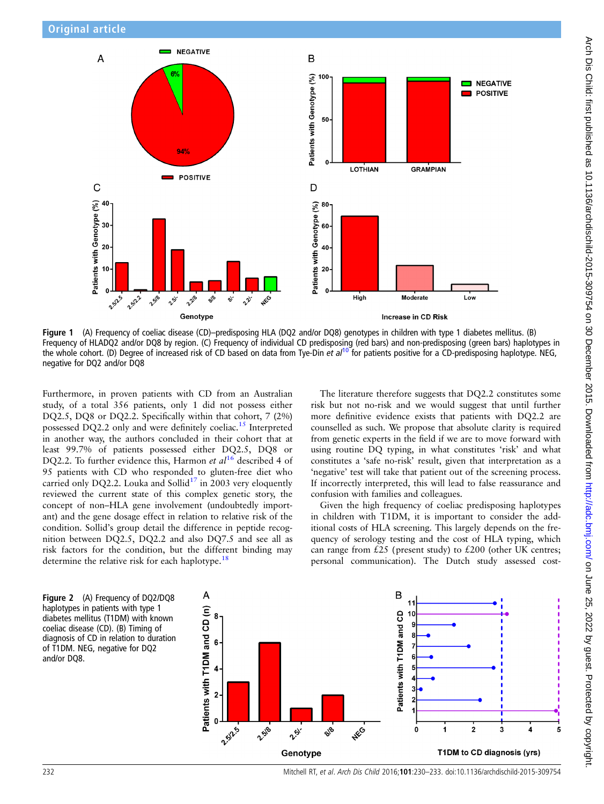<span id="page-2-0"></span>

Figure 1 (A) Frequency of coeliac disease (CD)–predisposing HLA (DQ2 and/or DQ8) genotypes in children with type 1 diabetes mellitus. (B) Frequency of HLADQ2 and/or DQ8 by region. (C) Frequency of individual CD predisposing (red bars) and non-predisposing (green bars) haplotypes in the whole cohort. (D) Degree of increased risk of CD based on data from Tye-Din et  $al^{10}$  $al^{10}$  $al^{10}$  for patients positive for a CD-predisposing haplotype. NEG, negative for DQ2 and/or DQ8

Furthermore, in proven patients with CD from an Australian study, of a total 356 patients, only 1 did not possess either DQ2.5, DQ8 or DQ2.2. Specifically within that cohort, 7 (2%) possessed DQ2.2 only and were definitely coeliac.<sup>[15](#page-3-0)</sup> Interpreted in another way, the authors concluded in their cohort that at least 99.7% of patients possessed either DQ2.5, DQ8 or DQ2.2. To further evidence this, Harmon et  $al^{16}$  $al^{16}$  $al^{16}$  described 4 of 95 patients with CD who responded to gluten-free diet who carried only DQ2.2. Louka and Sollid<sup>17</sup> in 2003 very eloquently reviewed the current state of this complex genetic story, the concept of non–HLA gene involvement (undoubtedly important) and the gene dosage effect in relation to relative risk of the condition. Sollid's group detail the difference in peptide recognition between DQ2.5, DQ2.2 and also DQ7.5 and see all as risk factors for the condition, but the different binding may determine the relative risk for each haplotype.<sup>18</sup>

The literature therefore suggests that DQ2.2 constitutes some risk but not no-risk and we would suggest that until further more definitive evidence exists that patients with DQ2.2 are counselled as such. We propose that absolute clarity is required from genetic experts in the field if we are to move forward with using routine DQ typing, in what constitutes 'risk' and what constitutes a 'safe no-risk' result, given that interpretation as a 'negative' test will take that patient out of the screening process. If incorrectly interpreted, this will lead to false reassurance and confusion with families and colleagues.

Given the high frequency of coeliac predisposing haplotypes in children with T1DM, it is important to consider the additional costs of HLA screening. This largely depends on the frequency of serology testing and the cost of HLA typing, which can range from  $£25$  (present study) to  $£200$  (other UK centres; personal communication). The Dutch study assessed cost-